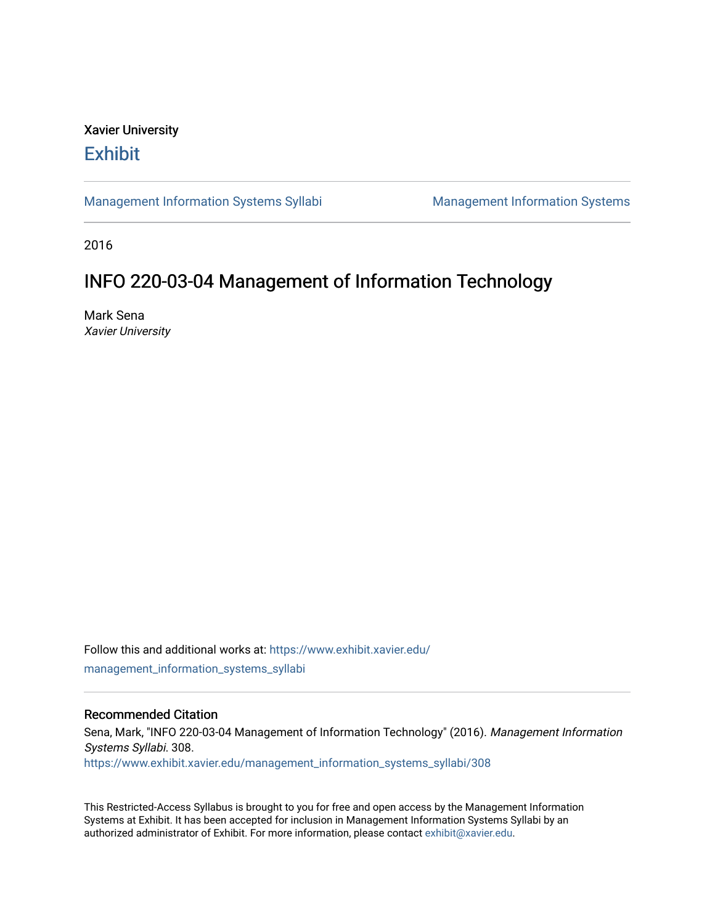# Xavier University **Exhibit**

[Management Information Systems Syllabi](https://www.exhibit.xavier.edu/management_information_systems_syllabi) Management Information Systems

2016

# INFO 220-03-04 Management of Information Technology

Mark Sena Xavier University

Follow this and additional works at: [https://www.exhibit.xavier.edu/](https://www.exhibit.xavier.edu/management_information_systems_syllabi?utm_source=www.exhibit.xavier.edu%2Fmanagement_information_systems_syllabi%2F308&utm_medium=PDF&utm_campaign=PDFCoverPages) [management\\_information\\_systems\\_syllabi](https://www.exhibit.xavier.edu/management_information_systems_syllabi?utm_source=www.exhibit.xavier.edu%2Fmanagement_information_systems_syllabi%2F308&utm_medium=PDF&utm_campaign=PDFCoverPages) 

### Recommended Citation

Sena, Mark, "INFO 220-03-04 Management of Information Technology" (2016). Management Information Systems Syllabi. 308. [https://www.exhibit.xavier.edu/management\\_information\\_systems\\_syllabi/308](https://www.exhibit.xavier.edu/management_information_systems_syllabi/308?utm_source=www.exhibit.xavier.edu%2Fmanagement_information_systems_syllabi%2F308&utm_medium=PDF&utm_campaign=PDFCoverPages) 

This Restricted-Access Syllabus is brought to you for free and open access by the Management Information Systems at Exhibit. It has been accepted for inclusion in Management Information Systems Syllabi by an authorized administrator of Exhibit. For more information, please contact [exhibit@xavier.edu](mailto:exhibit@xavier.edu).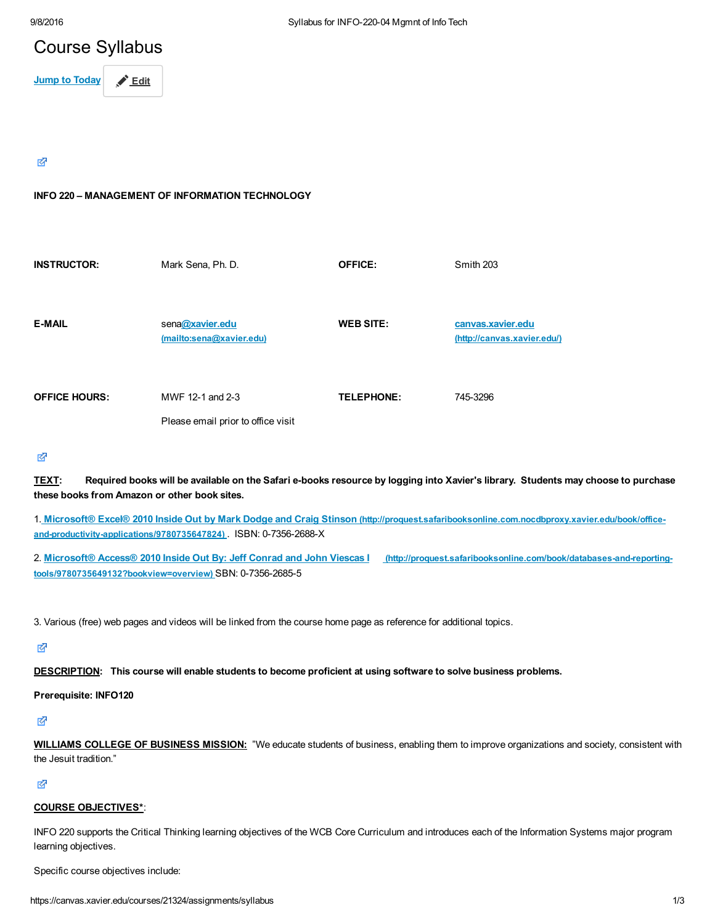# Course Syllabus

Jump to Today **A** Edit

#### 咨

#### INFO 220 – MANAGEMENT OF INFORMATION TECHNOLOGY

| <b>INSTRUCTOR:</b>   | Mark Sena, Ph. D.                                      | <b>OFFICE:</b>    | Smith 203                                        |
|----------------------|--------------------------------------------------------|-------------------|--------------------------------------------------|
| <b>E-MAIL</b>        | sena@xavier.edu<br>(mailto:sena@xavier.edu)            | <b>WEB SITE:</b>  | canvas.xavier.edu<br>(http://canvas.xavier.edu/) |
| <b>OFFICE HOURS:</b> | MWF 12-1 and 2-3<br>Please email prior to office visit | <b>TELEPHONE:</b> | 745-3296                                         |

#### 密

TEXT: Required books will be available on the Safari e-books resource by logging into Xavier's library. Students may choose to purchase these books from Amazon or other book sites.

1. Microsoft® Excel® 2010 Inside Out by Mark Dodge and Craig Stinson [\(http://proquest.safaribooksonline.com.nocdbproxy.xavier.edu/book/office](http://proquest.safaribooksonline.com.nocdbproxy.xavier.edu/book/office-and-productivity-applications/9780735647824)and-productivity-applications/9780735647824) . ISBN: 0-7356-2688-X

2. Microsoft® Access® 2010 Inside Out By: Jeff Conrad and John Viescas | (http://proquest.safaribooksonline.com/book/databases-and-reportingtools/9780735649132?bookview=overview) SBN: 0-7356-2685-5

3. Various (free) web pages and videos will be linked from the course home page as reference for additional topics.

咨

DESCRIPTION: This course will enable students to become proficient at using software to solve business problems.

#### Prerequisite: INFO120

环

WILLIAMS COLLEGE OF BUSINESS MISSION: "We educate students of business, enabling them to improve organizations and society, consistent with the Jesuit tradition."

#### 咨

#### COURSE OBJECTIVES\*:

INFO 220 supports the Critical Thinking learning objectives of the WCB Core Curriculum and introduces each of the Information Systems major program learning objectives.

Specific course objectives include: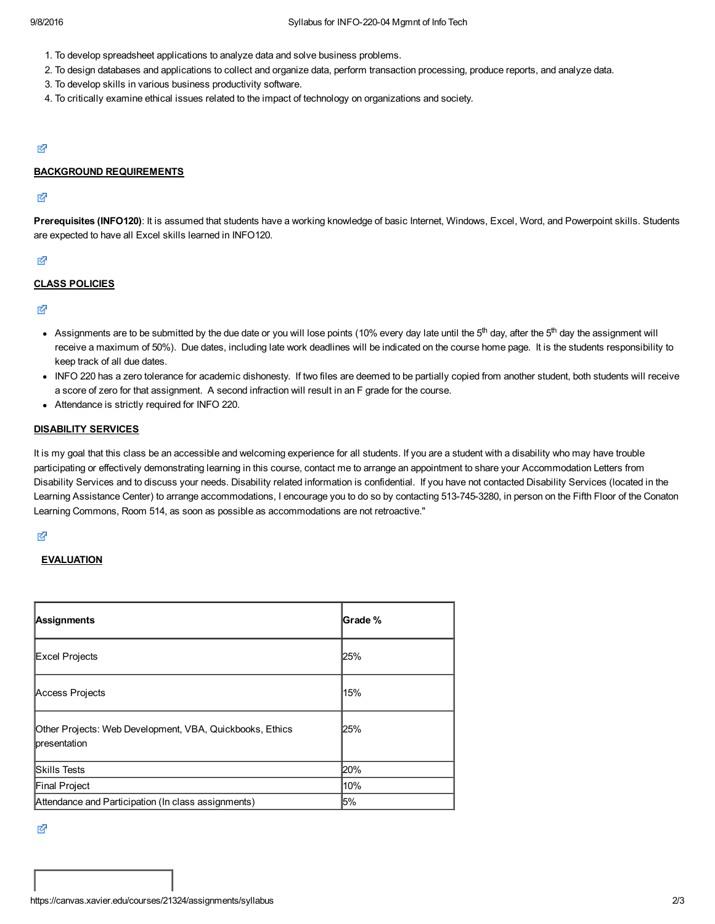- 1. To develop spreadsheet applications to analyze data and solve business problems.
- 2. To design databases and applications to collect and organize data, perform transaction processing, produce reports, and analyze data.
- 3. To develop skills in various business productivity software.
- 4. To critically examine ethical issues related to the impact of technology on organizations and society.

#### Ø

#### BACKGROUND REQUIREMENTS

#### 咨

Prerequisites (INFO120): It is assumed that students have a working knowledge of basic Internet, Windows, Excel, Word, and Powerpoint skills. Students are expected to have all Excel skills learned in INFO120.

#### 环

#### CLASS POLICIES

#### Ø

- Assignments are to be submitted by the due date or you will lose points (10% every day late until the 5<sup>th</sup> day, after the 5<sup>th</sup> day the assignment will receive a maximum of 50%). Due dates, including late work deadlines will be indicated on the course home page. It is the students responsibility to keep track of all due dates.
- INFO 220 has a zero tolerance for academic dishonesty. If two files are deemed to be partially copied from another student, both students will receive a score of zero for that assignment. A second infraction will result in an F grade for the course.
- Attendance is strictly required for INFO 220.

#### DISABILITY SERVICES

It is my goal that this class be an accessible and welcoming experience for all students. If you are a student with a disability who may have trouble participating or effectively demonstrating learning in this course, contact me to arrange an appointment to share your Accommodation Letters from Disability Services and to discuss your needs. Disability related information is confidential. If you have not contacted Disability Services (located in the Learning Assistance Center) to arrange accommodations, I encourage you to do so by contacting 513-745-3280, in person on the Fifth Floor of the Conaton Learning Commons, Room 514, as soon as possible as accommodations are not retroactive."

#### ∛

#### **EVALUATION**

| Assignments                                                              | Grade % |
|--------------------------------------------------------------------------|---------|
| Excel Projects                                                           | 25%     |
| Access Projects                                                          | 15%     |
| Other Projects: Web Development, VBA, Quickbooks, Ethics<br>presentation | 25%     |
| <b>Skills Tests</b>                                                      | 20%     |
| Final Project                                                            | 10%     |
| Attendance and Participation (In class assignments)                      | 5%      |

咨